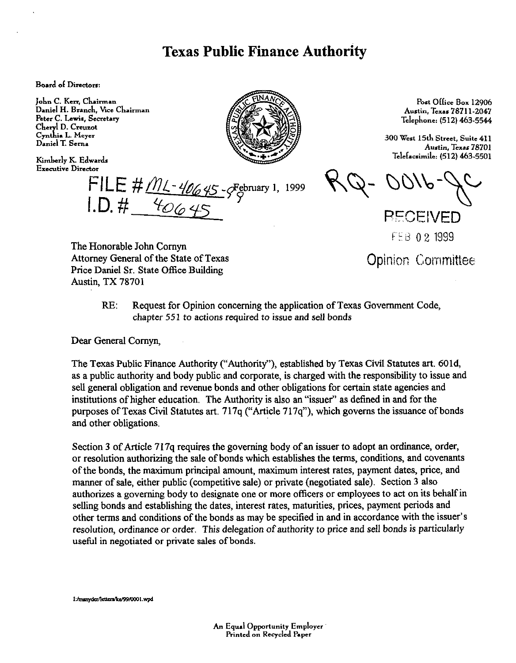## **Texas Public Finance Authority**

**Board of Directors:** 

John C. Kerr, Chairman Daniel H. Branch, Vice Chairman Peter C. Lewis, Secretary Cheryl D. Creuzot Cynthia L. Meyer Daniel T. Serna

Kimberly K. Edwards **Executive Director** 



FILE # <u>ML-40645</u>-SFebruary 1, 1999<br>I.D. # <u>40645</u>

Post Office Box 12906 Austin. Texas 78711-2047 Telephone: (512) 463.5544

300 West 15th Street, Suite 411 Austin, Texas 78701 T&facsimile; (512) 463.5501

**PECEIVED** FEB 02 1999

The Honorable John Comyn Attorney General of the State of Texas Price Daniel Sr. State Office Building Austin, TX 78701

**Opinion Committee** 

RE: Request for Opinion concerning the application of Texas Government Code, chapter 55 1 to actions required to issue and sell bonds

Dear General Comyn,

The Texas Public Finance Authority ("Authority"), established by Texas Civil Statutes art. 601d, as a public authority and body public and corporate, is charged with the responsibility to issue and sell general obligation and revenue bonds and other obligations for certain state agencies and institutions of higher education. The Authority is also an "issuer" as defined in and for the purposes of Texas Civil Statutes art. 717q ("Article 717q"), which governs the issuance of bonds and other obligations.

Section 3 of Article 717q requires the governing body of an issuer to adopt an ordinance, order, or resolution authorizing the sale of bonds which establishes the terms, conditions, and covenants of the bonds, the maximum principal amount, maximum interest rates, payment dates, price, and manner of sale, either public (competitive sale) or private (negotiated sale). Section 3 also authorizes a governing body to designate one or more officers or employees to act on its behalf in selling bonds and establishing the dates, interest rates, maturities, prices, payment periods and other terms and conditions of the bonds as may be specified in and in accordance with the issuer's resolution, ordinance or order. This delegation of authority to price and sell bonds is particularly useful in negotiated or private sales of bonds.

I./msnyder/letters/ke/99/0001.wpd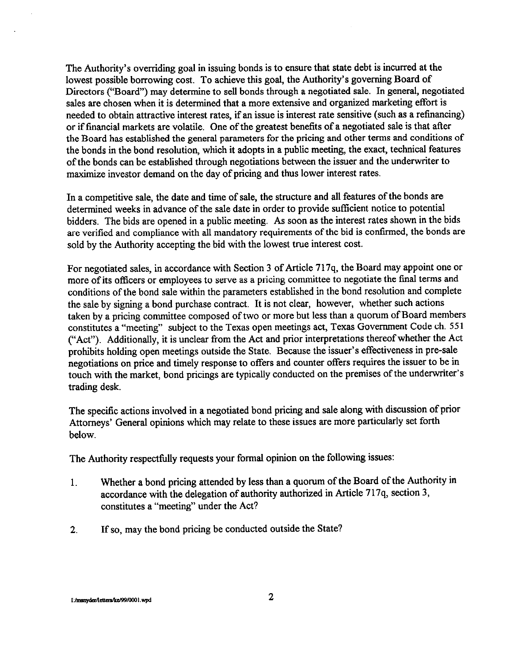The Authority's overriding goal in issuing bonds is to ensure that state debt is incurred at the lowest possible borrowing cost. To achieve this goal, the Authority's governing Board of Directors ("Board") may determine to sell bonds through a negotiated sale. In general, negotiated sales are chosen when it is determined that a more extensive and organized marketing effort is needed to obtain attractive interest rates, if an issue is interest rate sensitive (such as a refinancing) or if financial markets are volatile. One of the greatest benefits of a negotiated sale is that after the Board has established the general parameters for the pricing and other terms and conditions of the bonds in the bond resolution, which it adopts in a public meeting, the exact, technical features of the bonds can be established through negotiations between the issuer and the underwriter to maximize investor demand on the day of pricing and thus lower interest rates.

In a competitive sale, the date and time of sale, the structure and all features of the bonds are determined weeks in advance of the sale date in order to provide sufficient notice to potential bidders. The bids are opened in a public meeting. As soon as the interest rates shown in the bids are verified and compliance with all mandatory requirements of the bid is confirmed, the bonds are sold by the Authority accepting the bid with the lowest true interest cost.

For negotiated sales, in accordance with Section 3 of Article 717q, the Board may appoint one or more of its officers or employees to serve as a pricing committee to negotiate the final terms and conditions of the bond sale within the parameters established in the bond resolution and complete the sale by signing a bond purchase contract. It is not clear, however, whether such actions taken by a pricing committee composed of two or more but less than a quorum of Board members constitutes a "meeting" subject to the Texas open meetings act, Texas Government Code ch. 551 ("Act"). Additionally, it is unclear from the Act and prior interpretations thereof whether the Act prohibits holding open meetings outside the State. Because the issuer's effectiveness in pre-sale negotiations on price and timely response to offers and counter offers requires the issuer to be in touch with the market, bond pricings are typically conducted on the premises of the underwriter's trading desk.

The specific actions involved in a negotiated bond pricing and sale along with discussion of prior Attorneys' General opinions which may relate to these issues are more particularly set forth below.

The Authority respectfully requests your formal opinion on the following issues:

- 1. Whether a bond pricing attended by less than a quorum of the Board of the Authority in accordance with the delegation of authority authorized in Article 717q, section 3, constitutes a "meeting" under the Act?
- 2. If so, may the bond pricing be conducted outside the State?

I:/msnyder/letters/ke/99/0001.wpd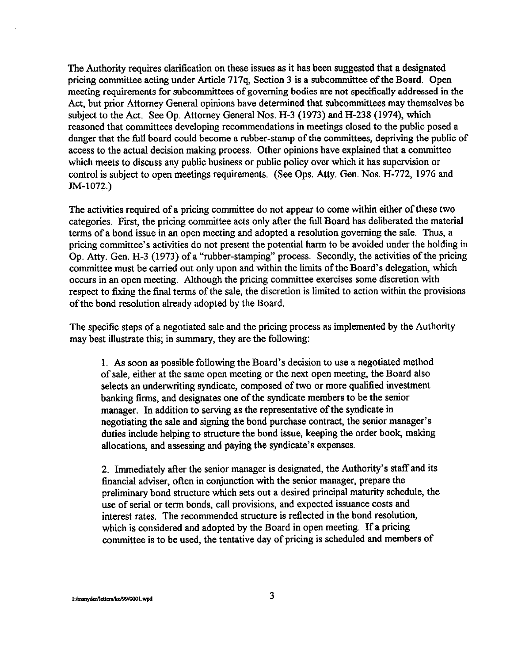The Authority requires clarification on these issues as it has been suggested that a designated pricing committee acting under Article 717q, Section 3 is a subcommittee of the Board. Open meeting requirements for subcommittees of governing bodies are not specitically addressed in the Act, but prior Attorney General opinions have determined that subcommittees may themselves be subject to the Act. See Op. Attorney General Nos. H-3 (1973) and H-238 (1974), which reasoned that committees developing recommendations in meetings closed to the public posed a danger that the full board could become a rubber-stamp of the committees, depriving the public of access to the actual decision making process. Other opinions have explained that a committee which meets to discuss any public business or public policy over which it has supervision or control is subject to open meetings requirements. (See Ops. Atty. Gen. Nos. H-772, 1976 and IM-1072.)

The activities required of a pricing committee do not appear to come within either of these two categories. First, the pricing committee acts only after the full Board has deliberated the material terms of a bond issue in an open meeting and adopted a resolution governing the sale. Thus, a pricing committee's activities do not present the potential harm to be avoided under the holding in Op. Atty. Gen. H-3 (1973) of a "rubber-stamping" process. Secondly, the activities of the pricing committee must be carried out only upon and within the limits of the Board's delegation, which occurs in an open meeting. Although the pricing committee exercises some discretion with respect to fixing the final terms of the sale, the discretion is limited to action within the provisions of the bond resolution already adopted by the Board.

The specific steps of a negotiated sale and the pricing process as implemented by the Authority may best illustrate this; in summary, they are the following:

1. As soon as possible following the Board's decision to use a negotiated method of sale, either at the same open meeting or the next open meeting, the Board also selects an underwriting syndicate, composed of two or more qualified investment banking firms, and designates one of the syndicate members to be the senior manager, In addition to serving as the representative of the syndicate in negotiating the sale and signing the bond purchase contract, the senior manager's duties include helping to structure the bond issue, keeping the order book, making allocations, and assessing and paying the syndicate's expenses.

2. Immediately after the senior manager is designated, the Authority's staff and its financial adviser, otten in conjunction with the senior manager, prepare the preliminary bond structure which sets out a desired principal maturity schedule, the use of serial or term bonds, call provisions, and expected issuance costs and interest rates, The recommended structure is reflected in the bond resolution, which is considered and adopted by the Board in open meeting. If a pricing committee is to be used, the tentative day of pricing is scheduled and members of

I:/msnyder/letters/ke/99/0001.wpd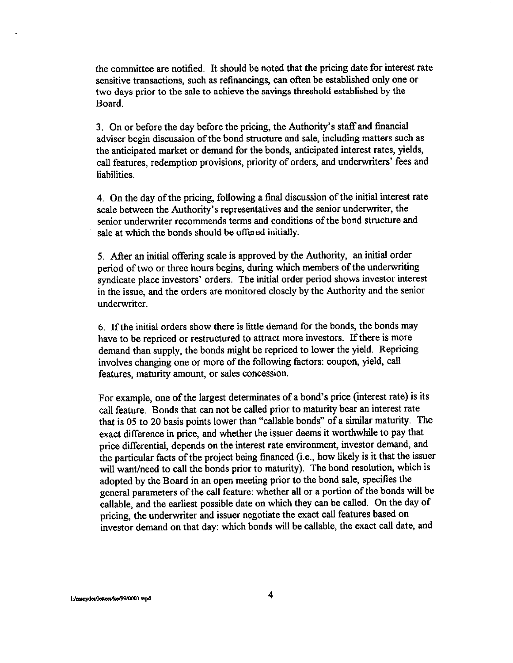the committee are notified. It should be noted that the pricing date for interest rate sensitive transactions, such as refinancings, can often be established only one or two days prior to the sale to achieve the savings threshold established by the Board.

3. On or before the day before the pricing, the Authority's statf and financial adviser begin discussion of the bond structure and sale, including matters such as the anticipated market or demand for the bonds, anticipated interest rates, yields, call features, redemption provisions, priority of orders, and underwriters' fees and liabilities.

4. On the day of the pricing, following a final discussion of the initial interest rate scale between the Authority's representatives and the senior underwriter, the senior underwriter recommends terms and conditions of the bond structure and sale at which the bonds should be offered initially.

5. After an initial offering scale is approved by the Authority, an initial order period of two or three hours begins, during which members of the underwriting syndicate place investors' orders. The initial order period shows investor interest in the issue, and the orders are monitored closely by the Authority and the senior underwriter.

6. If the initial orders show there is little demand for the bonds, the bonds may have to be repriced or restructured to attract more investors. If there is more demand than supply, the bonds might be repriced to lower the yield. Repricing involves changing one or more of the following factors: coupon, yield, call features, maturity amount, or sales concession.

For example, one of the largest determinates of a bond's price (interest rate) is its call feature, Bonds that can not be called prior to maturity bear an interest rate that is 05 to 20 basis points lower than "callable bonds" of a similar maturity. The exact difference in price, and whether the issuer deems it worthwhile to pay that price differential, depends on the interest rate environment, investor demand, and the particular facts of the project being financed (i.e., how likely is it that the issuer will want/need to call the bonds prior to maturity). The bond resolution, which is adopted by the Board in an open meeting prior to the bond sale, specifies the general parameters of the call feature: whether all or a portion of the bonds will be callable, and the earliest possible date on which they can be called. On the day of pricing, the underwriter and issuer negotiate the exact call features based on investor demand on that day: which bonds will be callable, the exact call date, and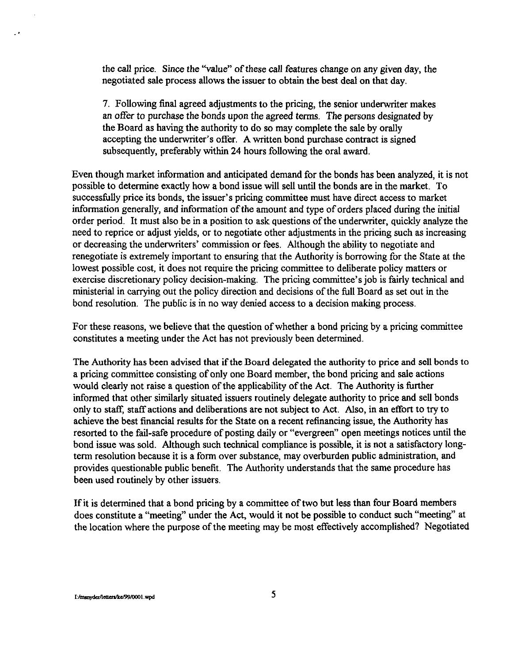the call price. Since the "value" of these call features change on any given day, the negotiated sale process allows the issuer to obtain the best deal on that day.

7. Following final agreed adjustments to the pricing, the senior underwriter makes an offer to purchase the bonds upon the agreed terms. The persons designated by the Board as having the authority to do so may complete the sale by orally accepting the underwriter's offer. A written bond purchase contract is signed subsequently, preferably within 24 hours following the oral award.

Even though market information and anticipated demand for the bonds has been analyzed, it is not possible to determine exactly how a bond issue will sell until the bonds are in the market. To successfully price its bonds, the issuer's pricing committee must have direct access to market information generally, and information of the amount and type of orders placed during the initial order period. It must also be in a position to ask questions of the underwriter, quickly analyze the need to reprice or adjust yields, or to negotiate other adjustments in the pricing such as increasing or decreasing the underwriters' commission or fees. Although the ability to negotiate and renegotiate is extremely important to ensuring that the Authority is borrowing for the State at the lowest possible cost, it does not require the pricing committee to deliberate policy matters or exercise discretionary policy decision-making. The pricing committee's job is fairly technical and ministerial in carrying out the policy direction and decisions of the full Board as set out in the bond resolution. The public is in no way denied access to a decision making process.

For these reasons, we believe that the question of whether a bond pricing by a pricing committee constitutes a meeting under the Act has not previously been determined.

The Authority has been advised that if the Board delegated the authority to price and sell bonds to a pricing committee consisting of only one Board member, the bond pricing and sale actions would clearly not raise a question of the applicability of the Act. The Authority is further informed that other similarly situated issuers routinely delegate authority to price and sell bonds only to staff, staff actions and deliberations are not subject to Act. Also, in an effort to try to achieve the best financial results for the State on a recent refinancing issue, the Authority has resorted to the fail-safe procedure of posting daily or "evergreen" open meetings notices until the bond issue was sold. Although such technical compliance is possible, it is not a satisfactory longterm resolution because it is a form over substance, may overburden public administration, and provides questionable public benefit. The Authority understands that the same procedure has been used routinely by other issuers.

If it is determined that a bond pricing by a committee of two but less than four Board members does constitute a "meeting" under the Act, would it not be possible to conduct such "meeting" at the location where the purpose of the meeting may be most effectively accomplished? Negotiated

I:/msnyder/letters/ke/99/0001.wpd